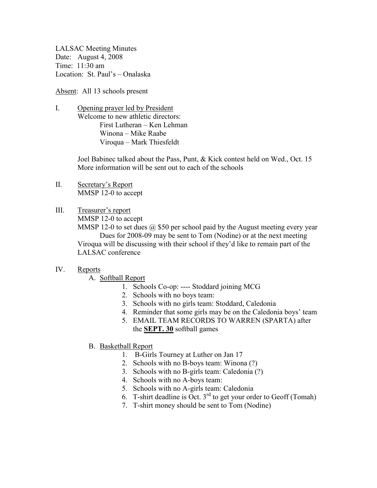LALSAC Meeting Minutes Date: August 4, 2008 Time: 11:30 am Location: St. Paul's – Onalaska

Absent: All 13 schools present

I. Opening prayer led by President Welcome to new athletic directors: First Lutheran – Ken Lehman Winona – Mike Raabe Viroqua – Mark Thiesfeldt

> Joel Babinec talked about the Pass, Punt, & Kick contest held on Wed., Oct. 15 More information will be sent out to each of the schools

- II. Secretary's Report MMSP 12-0 to accept
- III. Treasurer's report

MMSP 12-0 to accept

MMSP 12-0 to set dues  $\omega$  \$50 per school paid by the August meeting every year Dues for 2008-09 may be sent to Tom (Nodine) or at the next meeting Viroqua will be discussing with their school if they'd like to remain part of the LALSAC conference

## IV. Reports

A. Softball Report

- 1. Schools Co-op: ---- Stoddard joining MCG
- 2. Schools with no boys team:
- 3. Schools with no girls team: Stoddard, Caledonia
- 4. Reminder that some girls may be on the Caledonia boys' team
- 5. EMAIL TEAM RECORDS TO WARREN (SPARTA) after the **SEPT. 30** softball games
- B. Basketball Report
	- 1. B-Girls Tourney at Luther on Jan 17
	- 2. Schools with no B-boys team: Winona (?)
	- 3. Schools with no B-girls team: Caledonia (?)
	- 4. Schools with no A-boys team:
	- 5. Schools with no A-girls team: Caledonia
	- 6. T-shirt deadline is Oct.  $3^{rd}$  to get your order to Geoff (Tomah)
	- 7. T-shirt money should be sent to Tom (Nodine)